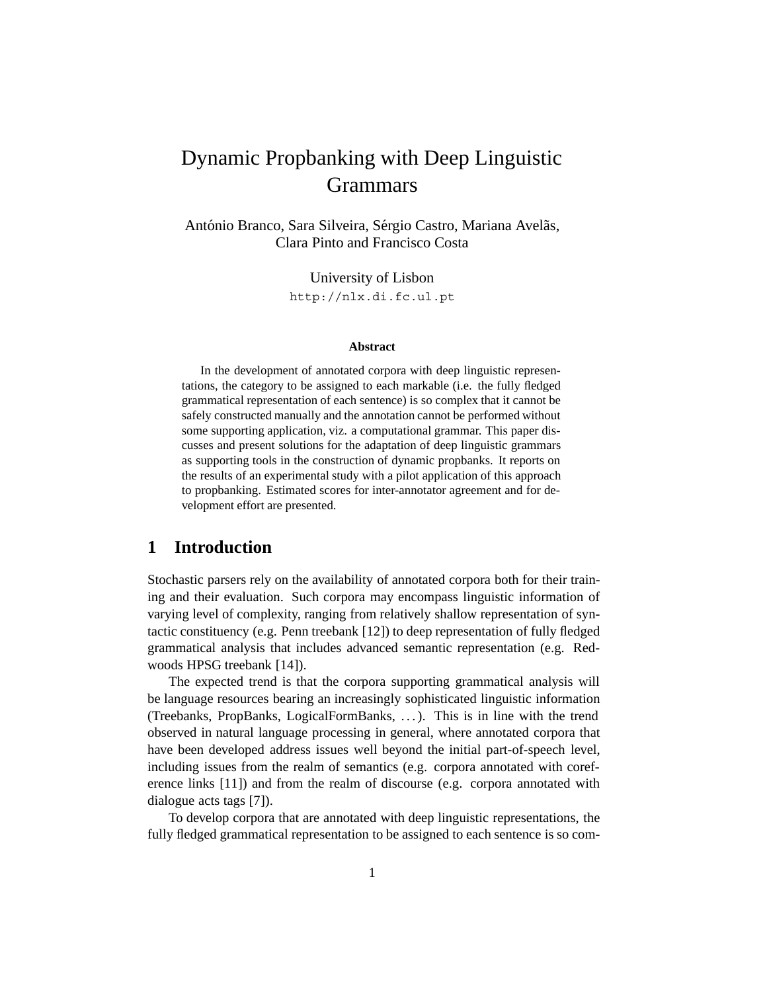# Dynamic Propbanking with Deep Linguistic **Grammars**

António Branco, Sara Silveira, Sérgio Castro, Mariana Avelãs, Clara Pinto and Francisco Costa

> University of Lisbon http://nlx.di.fc.ul.pt

#### **Abstract**

In the development of annotated corpora with deep linguistic representations, the category to be assigned to each markable (i.e. the fully fledged grammatical representation of each sentence) is so complex that it cannot be safely constructed manually and the annotation cannot be performed without some supporting application, viz. a computational grammar. This paper discusses and present solutions for the adaptation of deep linguistic grammars as supporting tools in the construction of dynamic propbanks. It reports on the results of an experimental study with a pilot application of this approach to propbanking. Estimated scores for inter-annotator agreement and for development effort are presented.

## **1 Introduction**

Stochastic parsers rely on the availability of annotated corpora both for their training and their evaluation. Such corpora may encompass linguistic information of varying level of complexity, ranging from relatively shallow representation of syntactic constituency (e.g. Penn treebank [12]) to deep representation of fully fledged grammatical analysis that includes advanced semantic representation (e.g. Redwoods HPSG treebank [14]).

The expected trend is that the corpora supporting grammatical analysis will be language resources bearing an increasingly sophisticated linguistic information (Treebanks, PropBanks, LogicalFormBanks, . . . ). This is in line with the trend observed in natural language processing in general, where annotated corpora that have been developed address issues well beyond the initial part-of-speech level, including issues from the realm of semantics (e.g. corpora annotated with coreference links [11]) and from the realm of discourse (e.g. corpora annotated with dialogue acts tags [7]).

To develop corpora that are annotated with deep linguistic representations, the fully fledged grammatical representation to be assigned to each sentence is so com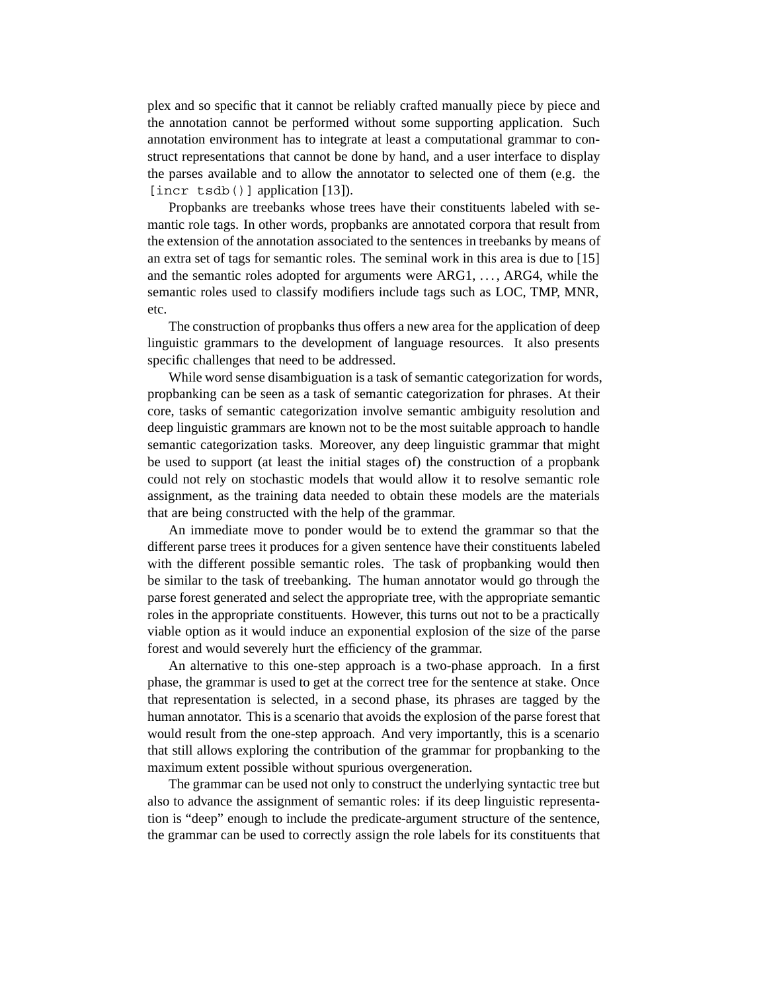plex and so specific that it cannot be reliably crafted manually piece by piece and the annotation cannot be performed without some supporting application. Such annotation environment has to integrate at least a computational grammar to construct representations that cannot be done by hand, and a user interface to display the parses available and to allow the annotator to selected one of them (e.g. the [incr tsdb()] application [13]).

Propbanks are treebanks whose trees have their constituents labeled with semantic role tags. In other words, propbanks are annotated corpora that result from the extension of the annotation associated to the sentences in treebanks by means of an extra set of tags for semantic roles. The seminal work in this area is due to [15] and the semantic roles adopted for arguments were ARG1, ..., ARG4, while the semantic roles used to classify modifiers include tags such as LOC, TMP, MNR, etc.

The construction of propbanks thus offers a new area for the application of deep linguistic grammars to the development of language resources. It also presents specific challenges that need to be addressed.

While word sense disambiguation is a task of semantic categorization for words, propbanking can be seen as a task of semantic categorization for phrases. At their core, tasks of semantic categorization involve semantic ambiguity resolution and deep linguistic grammars are known not to be the most suitable approach to handle semantic categorization tasks. Moreover, any deep linguistic grammar that might be used to support (at least the initial stages of) the construction of a propbank could not rely on stochastic models that would allow it to resolve semantic role assignment, as the training data needed to obtain these models are the materials that are being constructed with the help of the grammar.

An immediate move to ponder would be to extend the grammar so that the different parse trees it produces for a given sentence have their constituents labeled with the different possible semantic roles. The task of propbanking would then be similar to the task of treebanking. The human annotator would go through the parse forest generated and select the appropriate tree, with the appropriate semantic roles in the appropriate constituents. However, this turns out not to be a practically viable option as it would induce an exponential explosion of the size of the parse forest and would severely hurt the efficiency of the grammar.

An alternative to this one-step approach is a two-phase approach. In a first phase, the grammar is used to get at the correct tree for the sentence at stake. Once that representation is selected, in a second phase, its phrases are tagged by the human annotator. This is a scenario that avoids the explosion of the parse forest that would result from the one-step approach. And very importantly, this is a scenario that still allows exploring the contribution of the grammar for propbanking to the maximum extent possible without spurious overgeneration.

The grammar can be used not only to construct the underlying syntactic tree but also to advance the assignment of semantic roles: if its deep linguistic representation is "deep" enough to include the predicate-argument structure of the sentence, the grammar can be used to correctly assign the role labels for its constituents that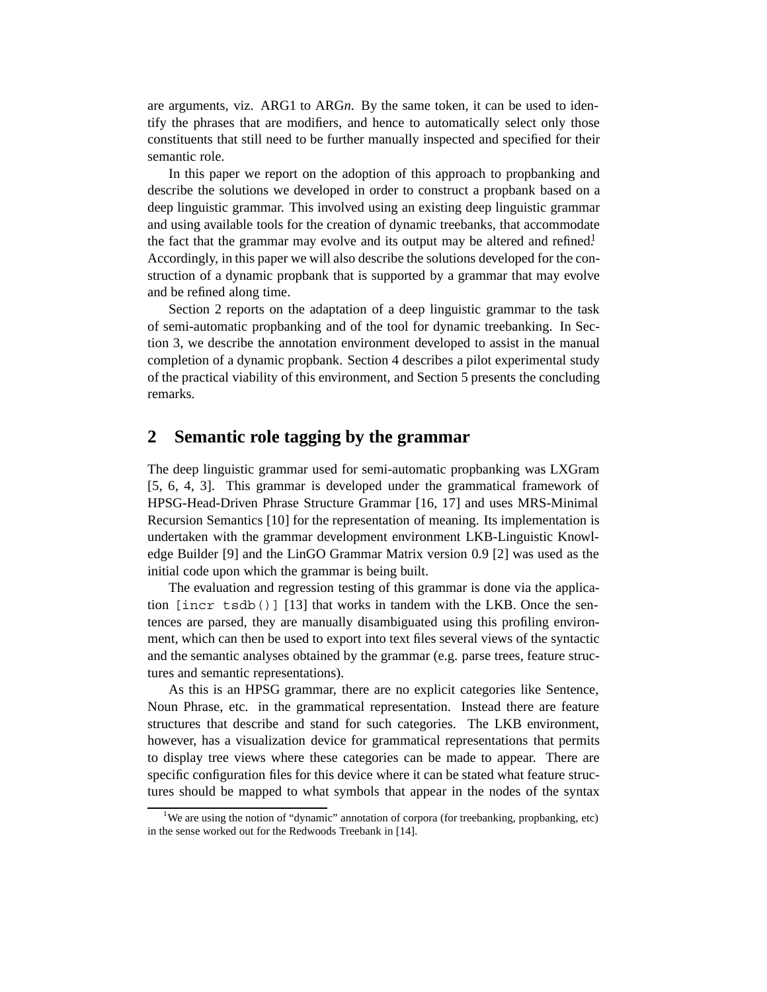are arguments, viz. ARG1 to ARG*n*. By the same token, it can be used to identify the phrases that are modifiers, and hence to automatically select only those constituents that still need to be further manually inspected and specified for their semantic role.

In this paper we report on the adoption of this approach to propbanking and describe the solutions we developed in order to construct a propbank based on a deep linguistic grammar. This involved using an existing deep linguistic grammar and using available tools for the creation of dynamic treebanks, that accommodate the fact that the grammar may evolve and its output may be altered and refined.<sup>1</sup> Accordingly, in this paper we will also describe the solutions developed for the construction of a dynamic propbank that is supported by a grammar that may evolve and be refined along time.

Section 2 reports on the adaptation of a deep linguistic grammar to the task of semi-automatic propbanking and of the tool for dynamic treebanking. In Section 3, we describe the annotation environment developed to assist in the manual completion of a dynamic propbank. Section 4 describes a pilot experimental study of the practical viability of this environment, and Section 5 presents the concluding remarks.

## **2 Semantic role tagging by the grammar**

The deep linguistic grammar used for semi-automatic propbanking was LXGram [5, 6, 4, 3]. This grammar is developed under the grammatical framework of HPSG-Head-Driven Phrase Structure Grammar [16, 17] and uses MRS-Minimal Recursion Semantics [10] for the representation of meaning. Its implementation is undertaken with the grammar development environment LKB-Linguistic Knowledge Builder [9] and the LinGO Grammar Matrix version 0.9 [2] was used as the initial code upon which the grammar is being built.

The evaluation and regression testing of this grammar is done via the application  $[incr \text{tsdb()}] [13]$  that works in tandem with the LKB. Once the sentences are parsed, they are manually disambiguated using this profiling environment, which can then be used to export into text files several views of the syntactic and the semantic analyses obtained by the grammar (e.g. parse trees, feature structures and semantic representations).

As this is an HPSG grammar, there are no explicit categories like Sentence, Noun Phrase, etc. in the grammatical representation. Instead there are feature structures that describe and stand for such categories. The LKB environment, however, has a visualization device for grammatical representations that permits to display tree views where these categories can be made to appear. There are specific configuration files for this device where it can be stated what feature structures should be mapped to what symbols that appear in the nodes of the syntax

<sup>&</sup>lt;sup>1</sup>We are using the notion of "dynamic" annotation of corpora (for treebanking, propbanking, etc) in the sense worked out for the Redwoods Treebank in [14].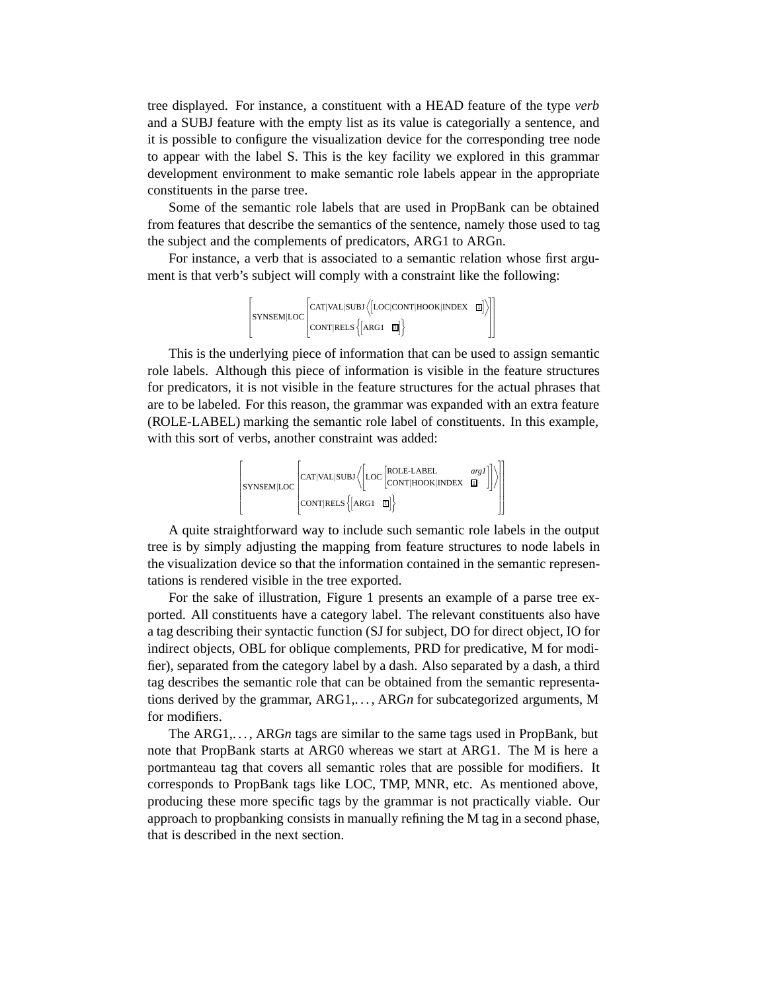tree displayed. For instance, a constituent with a HEAD feature of the type *verb* and a SUBJ feature with the empty list as its value is categorially a sentence, and it is possible to configure the visualization device for the corresponding tree node to appear with the label S. This is the key facility we explored in this grammar development environment to make semantic role labels appear in the appropriate constituents in the parse tree.

Some of the semantic role labels that are used in PropBank can be obtained from features that describe the semantics of the sentence, namely those used to tag the subject and the complements of predicators, ARG1 to ARGn.

For instance, a verb that is associated to a semantic relation whose first argument is that verb's subject will comply with a constraint like the following:

$$
\left[\text{synsem}[\text{loc}[\text{car}]\text{val}]\text{sub}\left\langle [\text{loc}[\text{cont}]\text{mod}[\text{ind}] \right\rangle ]\right]\\ \text{conv}[\text{rels}\left\{ [\text{arg} \text{min}] \right\}
$$

This is the underlying piece of information that can be used to assign semantic role labels. Although this piece of information is visible in the feature structures for predicators, it is not visible in the feature structures for the actual phrases that are to be labeled. For this reason, the grammar was expanded with an extra feature (ROLE-LABEL) marking the semantic role label of constituents. In this example, with this sort of verbs, another constraint was added:

$$
\left[\text{synsem}[\text{Loc} \left[\text{car}[\text{val}]\text{sub}/\left[\text{Loc} \left[\text{role-labe} \left[\text{cor} \left[\text{rel} \left[\text{max} \left[\text{val}\right]\right]\right]\right]\right]\right]\right]\right]
$$

A quite straightforward way to include such semantic role labels in the output tree is by simply adjusting the mapping from feature structures to node labels in the visualization device so that the information contained in the semantic representations is rendered visible in the tree exported.

For the sake of illustration, Figure 1 presents an example of a parse tree exported. All constituents have a category label. The relevant constituents also have a tag describing their syntactic function (SJ for subject, DO for direct object, IO for indirect objects, OBL for oblique complements, PRD for predicative, M for modifier), separated from the category label by a dash. Also separated by a dash, a third tag describes the semantic role that can be obtained from the semantic representations derived by the grammar, ARG1,. . . , ARG*n* for subcategorized arguments, M for modifiers.

The ARG1,. . . , ARG*n* tags are similar to the same tags used in PropBank, but note that PropBank starts at ARG0 whereas we start at ARG1. The M is here a portmanteau tag that covers all semantic roles that are possible for modifiers. It corresponds to PropBank tags like LOC, TMP, MNR, etc. As mentioned above, producing these more specific tags by the grammar is not practically viable. Our approach to propbanking consists in manually refining the M tag in a second phase, that is described in the next section.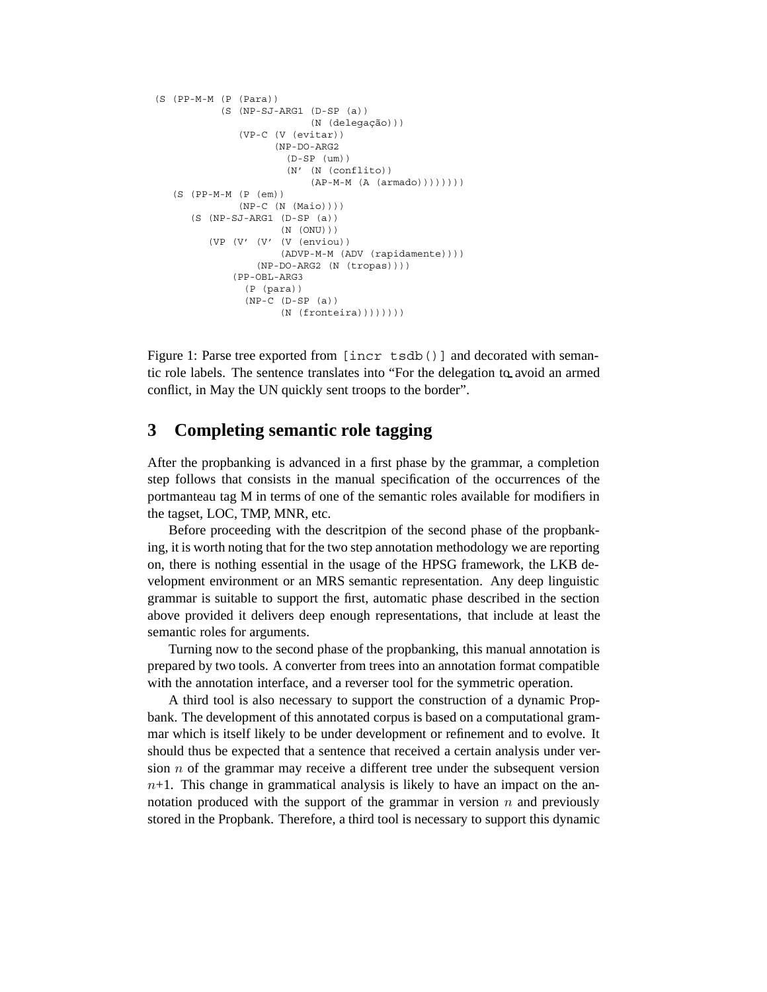```
(S (PP-M-M (P (Para))
     (S (NP-SJ-ARG1 (D-SP (a))
                     (N (delegação)))
         (VP-C (V (evitar))
              (NP-DO-ARG2
                 (D-SP (um))
                 (N' (N (conflito))
                     (AP-M-M (A (armado))))))(S (PP-M-M (P (em))
        (NP-C (N (Maio))))
 (S (NP-SJ-ARG1 (D-SP (a))
                (N (ONU)))
    (VP (V' (V' (V (enviou))
                (ADVP-M-M (ADV (rapidamente))))
            (NP-DO-ARG2 (N (tropas))))
        (PP-OBL-ARG3
         (P (para))
          (NP-C (D-SP (a))
                (N (fronteira)))))))))
```
Figure 1: Parse tree exported from [incr tsdb()] and decorated with semantic role labels. The sentence translates into "For the delegation to avoid an armed conflict, in May the UN quickly sent troops to the border".

## **3 Completing semantic role tagging**

After the propbanking is advanced in a first phase by the grammar, a completion step follows that consists in the manual specification of the occurrences of the portmanteau tag M in terms of one of the semantic roles available for modifiers in the tagset, LOC, TMP, MNR, etc.

Before proceeding with the descritpion of the second phase of the propbanking, it is worth noting that for the two step annotation methodology we are reporting on, there is nothing essential in the usage of the HPSG framework, the LKB development environment or an MRS semantic representation. Any deep linguistic grammar is suitable to support the first, automatic phase described in the section above provided it delivers deep enough representations, that include at least the semantic roles for arguments.

Turning now to the second phase of the propbanking, this manual annotation is prepared by two tools. A converter from trees into an annotation format compatible with the annotation interface, and a reverser tool for the symmetric operation.

A third tool is also necessary to support the construction of a dynamic Propbank. The development of this annotated corpus is based on a computational grammar which is itself likely to be under development or refinement and to evolve. It should thus be expected that a sentence that received a certain analysis under version  $n$  of the grammar may receive a different tree under the subsequent version  $n+1$ . This change in grammatical analysis is likely to have an impact on the annotation produced with the support of the grammar in version  $n$  and previously stored in the Propbank. Therefore, a third tool is necessary to support this dynamic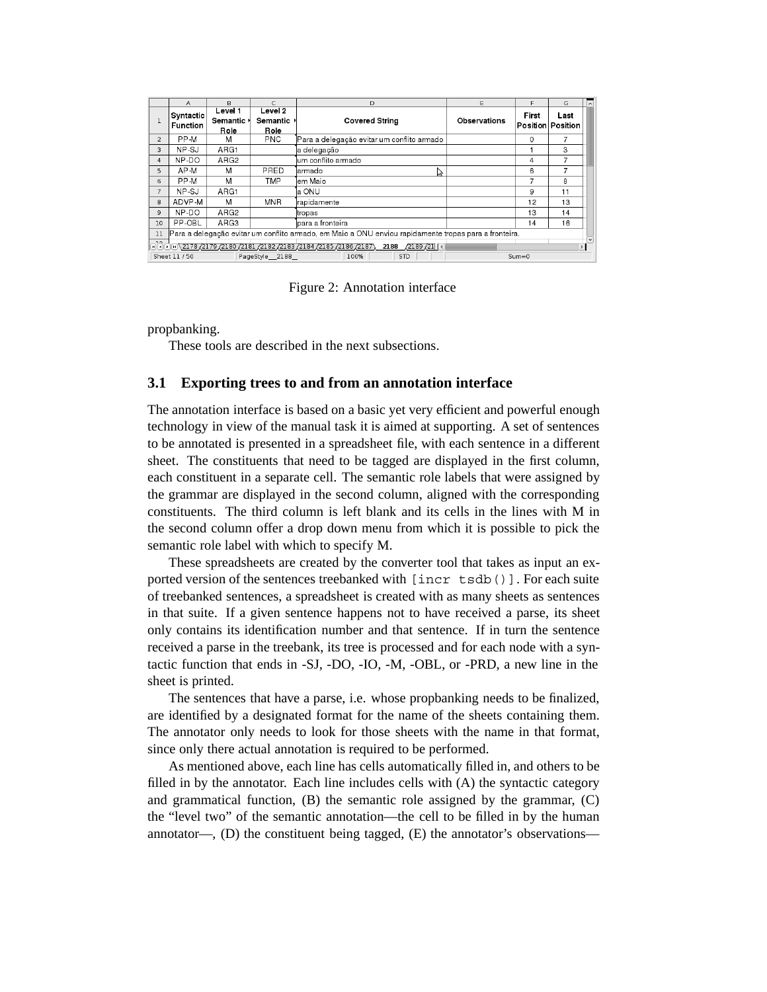|                                                                                                                                                                                                                                 | A                            | B                                        |                                    | D                                          | Ε                   | F     | G                                | $\sim$ |
|---------------------------------------------------------------------------------------------------------------------------------------------------------------------------------------------------------------------------------|------------------------------|------------------------------------------|------------------------------------|--------------------------------------------|---------------------|-------|----------------------------------|--------|
|                                                                                                                                                                                                                                 | Syntactic<br><b>Function</b> | Level 1<br>Semantic <sup>1</sup><br>Role | Level 2<br>Semantic $\ast$<br>Role | <b>Covered String</b>                      | <b>Observations</b> | First | Last<br><b>Position Position</b> |        |
| $\overline{2}$                                                                                                                                                                                                                  | PP-M                         | M                                        | <b>PNC</b>                         | Para a delegação evitar um conflito armado |                     | 0     |                                  |        |
| 3                                                                                                                                                                                                                               | NP-SJ                        | ARG1                                     |                                    | a delegação                                |                     |       | 3                                |        |
| 4                                                                                                                                                                                                                               | NP-DO                        | ARG <sub>2</sub>                         |                                    | lum conflito armado                        |                     | 4     | 7                                |        |
| 5                                                                                                                                                                                                                               | AP-M                         | M                                        | PRED                               | larmado                                    |                     | 6     |                                  |        |
| 6                                                                                                                                                                                                                               | PP-M                         | M                                        | <b>TMP</b>                         | lem Maio                                   |                     | 7     | 8                                |        |
| $\overline{7}$                                                                                                                                                                                                                  | NP-SJ                        | ARG1                                     |                                    | la ONU                                     |                     | 9     | 11                               |        |
| 8                                                                                                                                                                                                                               | ADVP-M                       | M                                        | <b>MNR</b>                         | rapidamente                                |                     | 12    | 13                               |        |
| 9                                                                                                                                                                                                                               | NP-DO                        | ARG <sub>2</sub>                         |                                    | tropas                                     |                     | 13    | 14                               |        |
| 10                                                                                                                                                                                                                              | PP-OBL                       | ARG3                                     |                                    | lpara a fronteira                          |                     | 14    | 16                               |        |
| Para a delegação evitar um conflito armado, em Maio a ONU enviou rapidamente tropas para a fronteira.<br>11                                                                                                                     |                              |                                          |                                    |                                            |                     |       |                                  |        |
| $\frac{1}{2189}$ (2178 $\frac{2179}{2180}$ $\frac{2180}{2181}$ $\frac{2182}{2182}$ $\frac{2183}{2184}$ $\frac{2185}{2185}$ $\frac{2186}{2187}$ $\frac{2188}{2189}$ $\frac{2189}{211}$ $\left[\frac{2189}{211}$<br>$\rightarrow$ |                              |                                          |                                    |                                            |                     |       |                                  |        |
| Sheet 11 / 50<br>PageStyle 2188<br>100%<br><b>STD</b><br>$Sum = 0$                                                                                                                                                              |                              |                                          |                                    |                                            |                     |       |                                  |        |

Figure 2: Annotation interface

propbanking.

These tools are described in the next subsections.

### **3.1 Exporting trees to and from an annotation interface**

The annotation interface is based on a basic yet very efficient and powerful enough technology in view of the manual task it is aimed at supporting. A set of sentences to be annotated is presented in a spreadsheet file, with each sentence in a different sheet. The constituents that need to be tagged are displayed in the first column, each constituent in a separate cell. The semantic role labels that were assigned by the grammar are displayed in the second column, aligned with the corresponding constituents. The third column is left blank and its cells in the lines with M in the second column offer a drop down menu from which it is possible to pick the semantic role label with which to specify M.

These spreadsheets are created by the converter tool that takes as input an exported version of the sentences treebanked with [incr tsdb()]. For each suite of treebanked sentences, a spreadsheet is created with as many sheets as sentences in that suite. If a given sentence happens not to have received a parse, its sheet only contains its identification number and that sentence. If in turn the sentence received a parse in the treebank, its tree is processed and for each node with a syntactic function that ends in -SJ, -DO, -IO, -M, -OBL, or -PRD, a new line in the sheet is printed.

The sentences that have a parse, i.e. whose propbanking needs to be finalized, are identified by a designated format for the name of the sheets containing them. The annotator only needs to look for those sheets with the name in that format, since only there actual annotation is required to be performed.

As mentioned above, each line has cells automatically filled in, and others to be filled in by the annotator. Each line includes cells with  $(A)$  the syntactic category and grammatical function, (B) the semantic role assigned by the grammar, (C) the "level two" of the semantic annotation—the cell to be filled in by the human annotator—, (D) the constituent being tagged, (E) the annotator's observations—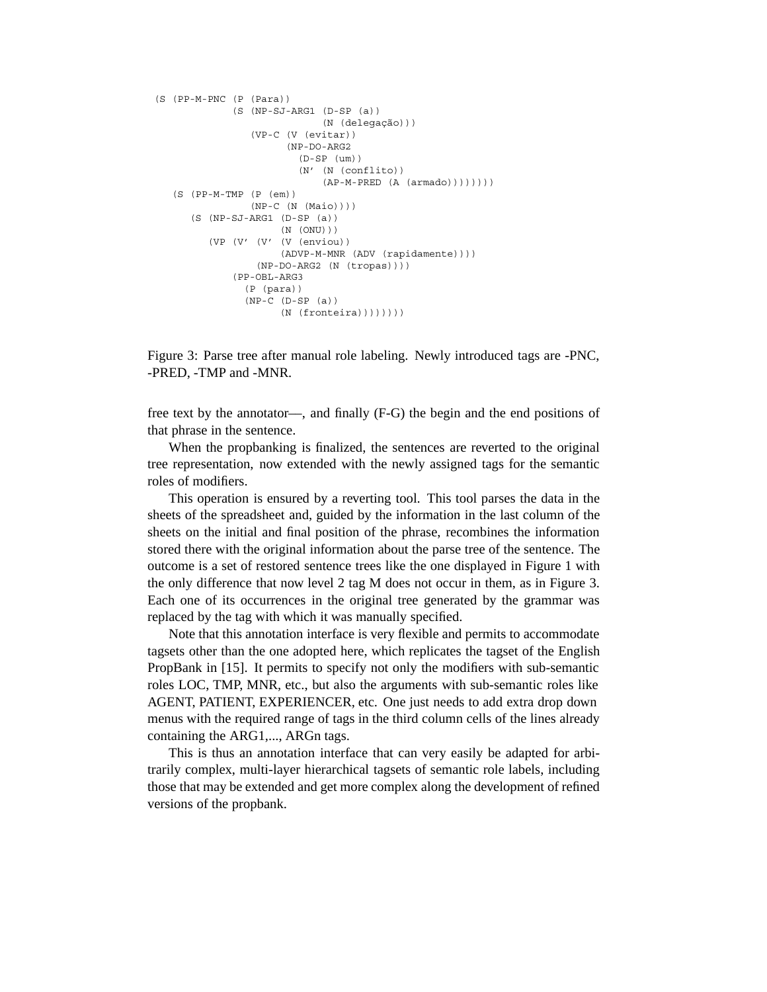```
(S (PP-M-PNC (P (Para))
       (S (NP-SJ-ARG1 (D-SP (a))
                      (N (delegação)))
           (VP-C (V (evitar))
                (NP-DO-ARG2
                   (D-SP (um))
                   (N' (N (conflito))
                      (AP-M-PRED (A (armado))))))(S (PP-M-TMP (P (em))
         (NP-C (N (Maio))))
(S (NP-SJ-ARG1 (D-SP (a))
                (N (ONU)))
   (VP (V' (V' (V (enviou))
               (ADVP-M-MNR (ADV (rapidamente))))
           (NP-DO-ARG2 (N (tropas))))
        (PP-OBL-ARG3
         (P (para))
         (NP-C (D-SP (a))
                (N (fronteira)))))))))
```
Figure 3: Parse tree after manual role labeling. Newly introduced tags are -PNC, -PRED, -TMP and -MNR.

free text by the annotator—, and finally (F-G) the begin and the end positions of that phrase in the sentence.

When the propbanking is finalized, the sentences are reverted to the original tree representation, now extended with the newly assigned tags for the semantic roles of modifiers.

This operation is ensured by a reverting tool. This tool parses the data in the sheets of the spreadsheet and, guided by the information in the last column of the sheets on the initial and final position of the phrase, recombines the information stored there with the original information about the parse tree of the sentence. The outcome is a set of restored sentence trees like the one displayed in Figure 1 with the only difference that now level 2 tag M does not occur in them, as in Figure 3. Each one of its occurrences in the original tree generated by the grammar was replaced by the tag with which it was manually specified.

Note that this annotation interface is very flexible and permits to accommodate tagsets other than the one adopted here, which replicates the tagset of the English PropBank in [15]. It permits to specify not only the modifiers with sub-semantic roles LOC, TMP, MNR, etc., but also the arguments with sub-semantic roles like AGENT, PATIENT, EXPERIENCER, etc. One just needs to add extra drop down menus with the required range of tags in the third column cells of the lines already containing the ARG1,..., ARGn tags.

This is thus an annotation interface that can very easily be adapted for arbitrarily complex, multi-layer hierarchical tagsets of semantic role labels, including those that may be extended and get more complex along the development of refined versions of the propbank.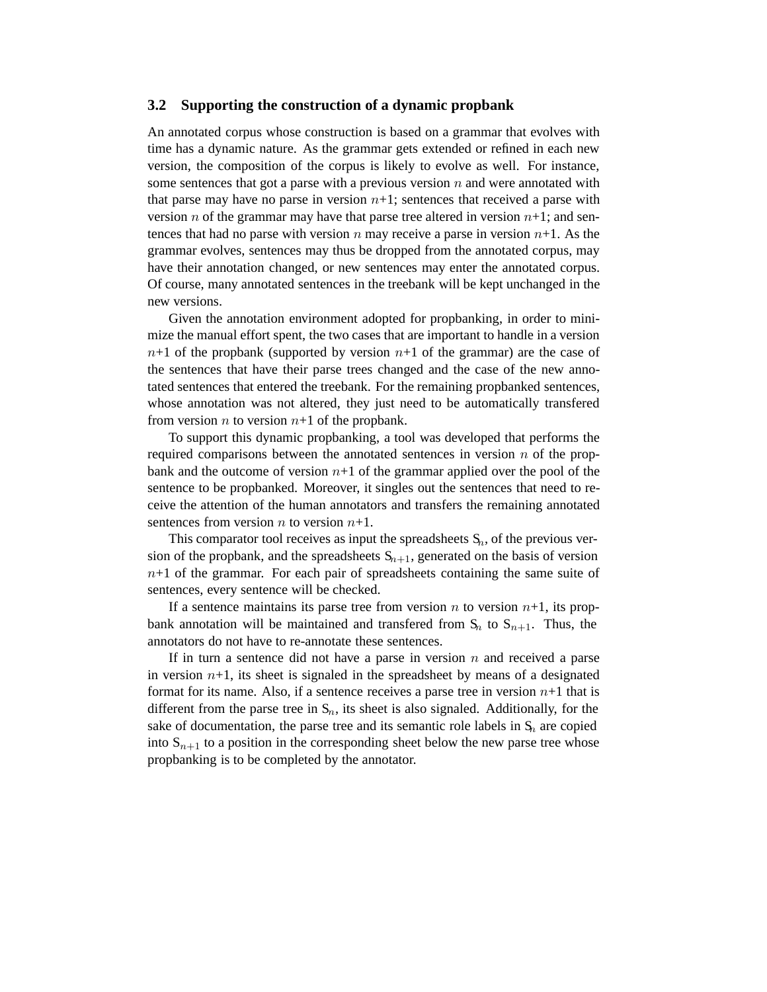#### **3.2 Supporting the construction of a dynamic propbank**

An annotated corpus whose construction is based on a grammar that evolves with time has a dynamic nature. As the grammar gets extended or refined in each new version, the composition of the corpus is likely to evolve as well. For instance, some sentences that got a parse with a previous version  $n$  and were annotated with that parse may have no parse in version  $n+1$ ; sentences that received a parse with version n of the grammar may have that parse tree altered in version  $n+1$ ; and sentences that had no parse with version n may receive a parse in version  $n+1$ . As the grammar evolves, sentences may thus be dropped from the annotated corpus, may have their annotation changed, or new sentences may enter the annotated corpus. Of course, many annotated sentences in the treebank will be kept unchanged in the new versions.

Given the annotation environment adopted for propbanking, in order to minimize the manual effort spent, the two cases that are important to handle in a version  $n+1$  of the propbank (supported by version  $n+1$  of the grammar) are the case of the sentences that have their parse trees changed and the case of the new annotated sentences that entered the treebank. For the remaining propbanked sentences, whose annotation was not altered, they just need to be automatically transfered from version *n* to version  $n+1$  of the propbank.

To support this dynamic propbanking, a tool was developed that performs the required comparisons between the annotated sentences in version  $n$  of the propbank and the outcome of version  $n+1$  of the grammar applied over the pool of the sentence to be propbanked. Moreover, it singles out the sentences that need to receive the attention of the human annotators and transfers the remaining annotated sentences from version  $n$  to version  $n+1$ .

This comparator tool receives as input the spreadsheets  $S_n$ , of the previous version of the propbank, and the spreadsheets  $S_{n+1}$ , generated on the basis of version  $n+1$  of the grammar. For each pair of spreadsheets containing the same suite of sentences, every sentence will be checked.

If a sentence maintains its parse tree from version  $n$  to version  $n+1$ , its propbank annotation will be maintained and transfered from  $S_n$  to  $S_{n+1}$ . Thus, the annotators do not have to re-annotate these sentences.

If in turn a sentence did not have a parse in version  $n$  and received a parse in version  $n+1$ , its sheet is signaled in the spreadsheet by means of a designated format for its name. Also, if a sentence receives a parse tree in version  $n+1$  that is different from the parse tree in  $S_n$ , its sheet is also signaled. Additionally, for the sake of documentation, the parse tree and its semantic role labels in  $S_n$  are copied into  $S_{n+1}$  to a position in the corresponding sheet below the new parse tree whose propbanking is to be completed by the annotator.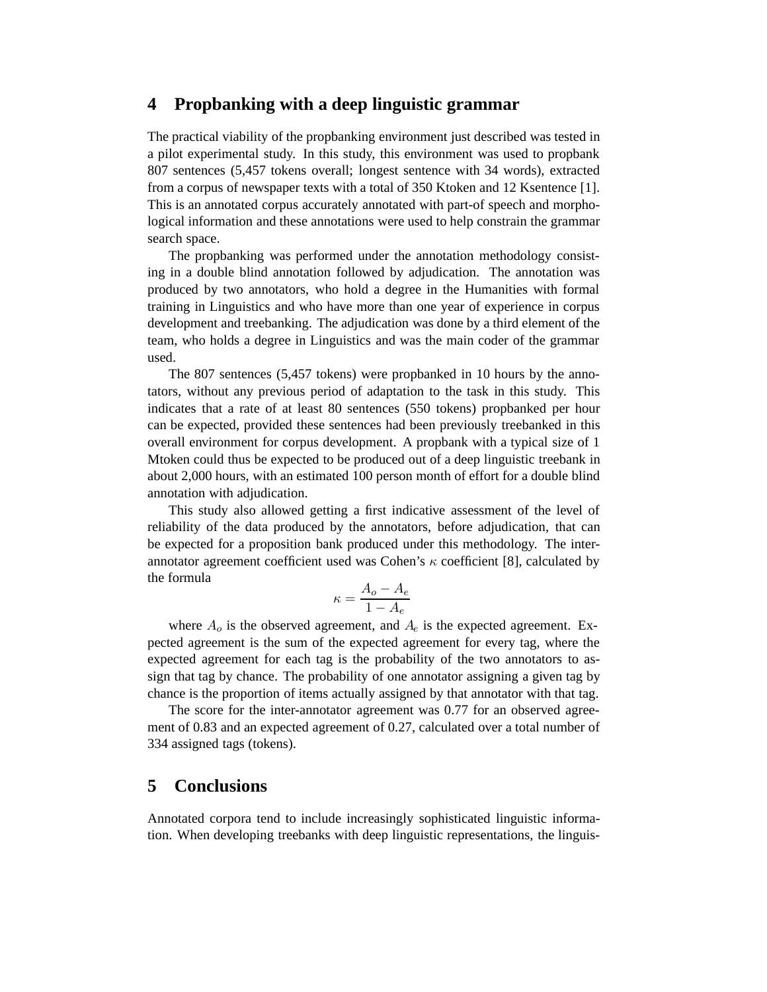## **4 Propbanking with a deep linguistic grammar**

The practical viability of the propbanking environment just described was tested in a pilot experimental study. In this study, this environment was used to propbank 807 sentences (5,457 tokens overall; longest sentence with 34 words), extracted from a corpus of newspaper texts with a total of 350 Ktoken and 12 Ksentence [1]. This is an annotated corpus accurately annotated with part-of speech and morphological information and these annotations were used to help constrain the grammar search space.

The propbanking was performed under the annotation methodology consisting in a double blind annotation followed by adjudication. The annotation was produced by two annotators, who hold a degree in the Humanities with formal training in Linguistics and who have more than one year of experience in corpus development and treebanking. The adjudication was done by a third element of the team, who holds a degree in Linguistics and was the main coder of the grammar used.

The 807 sentences (5,457 tokens) were propbanked in 10 hours by the annotators, without any previous period of adaptation to the task in this study. This indicates that a rate of at least 80 sentences (550 tokens) propbanked per hour can be expected, provided these sentences had been previously treebanked in this overall environment for corpus development. A propbank with a typical size of 1 Mtoken could thus be expected to be produced out of a deep linguistic treebank in about 2,000 hours, with an estimated 100 person month of effort for a double blind annotation with adjudication.

This study also allowed getting a first indicative assessment of the level of reliability of the data produced by the annotators, before adjudication, that can be expected for a proposition bank produced under this methodology. The interannotator agreement coefficient used was Cohen's  $\kappa$  coefficient [8], calculated by the formula

$$
\kappa = \frac{A_o - A_e}{1 - A_e}
$$

where  $A<sub>o</sub>$  is the observed agreement, and  $A<sub>e</sub>$  is the expected agreement. Expected agreement is the sum of the expected agreement for every tag, where the expected agreement for each tag is the probability of the two annotators to assign that tag by chance. The probability of one annotator assigning a given tag by chance is the proportion of items actually assigned by that annotator with that tag.

The score for the inter-annotator agreement was 0.77 for an observed agreement of 0.83 and an expected agreement of 0.27, calculated over a total number of 334 assigned tags (tokens).

## **5 Conclusions**

Annotated corpora tend to include increasingly sophisticated linguistic information. When developing treebanks with deep linguistic representations, the linguis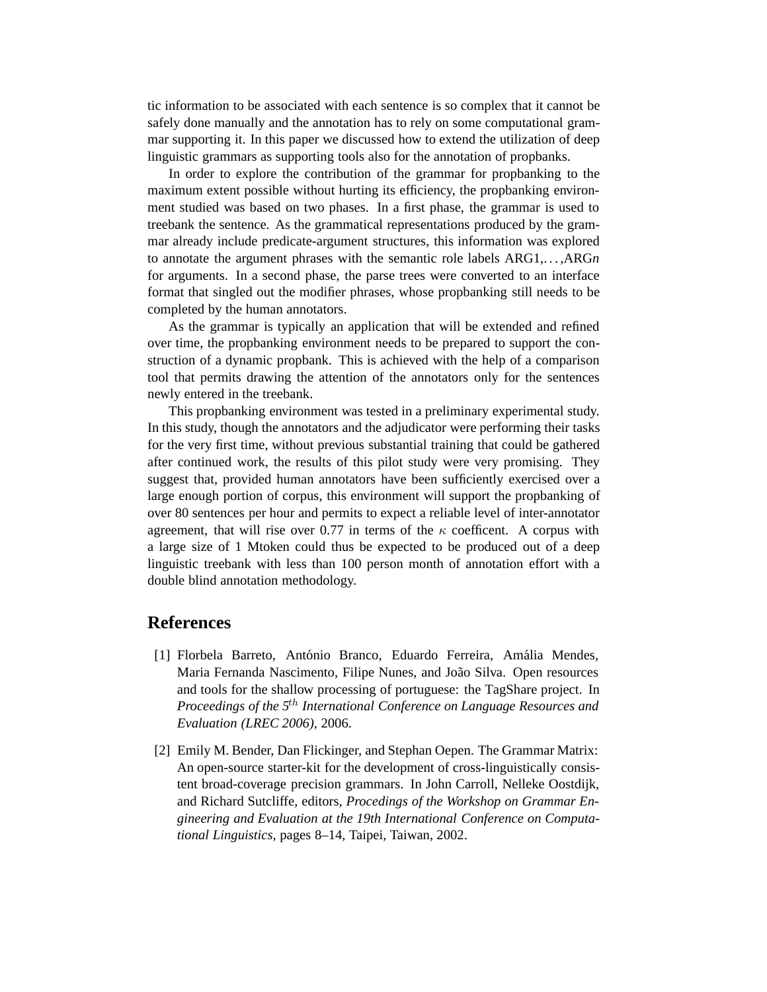tic information to be associated with each sentence is so complex that it cannot be safely done manually and the annotation has to rely on some computational grammar supporting it. In this paper we discussed how to extend the utilization of deep linguistic grammars as supporting tools also for the annotation of propbanks.

In order to explore the contribution of the grammar for propbanking to the maximum extent possible without hurting its efficiency, the propbanking environment studied was based on two phases. In a first phase, the grammar is used to treebank the sentence. As the grammatical representations produced by the grammar already include predicate-argument structures, this information was explored to annotate the argument phrases with the semantic role labels ARG1,. . . ,ARG*n* for arguments. In a second phase, the parse trees were converted to an interface format that singled out the modifier phrases, whose propbanking still needs to be completed by the human annotators.

As the grammar is typically an application that will be extended and refined over time, the propbanking environment needs to be prepared to support the construction of a dynamic propbank. This is achieved with the help of a comparison tool that permits drawing the attention of the annotators only for the sentences newly entered in the treebank.

This propbanking environment was tested in a preliminary experimental study. In this study, though the annotators and the adjudicator were performing their tasks for the very first time, without previous substantial training that could be gathered after continued work, the results of this pilot study were very promising. They suggest that, provided human annotators have been sufficiently exercised over a large enough portion of corpus, this environment will support the propbanking of over 80 sentences per hour and permits to expect a reliable level of inter-annotator agreement, that will rise over 0.77 in terms of the  $\kappa$  coefficent. A corpus with a large size of 1 Mtoken could thus be expected to be produced out of a deep linguistic treebank with less than 100 person month of annotation effort with a double blind annotation methodology.

## **References**

- [1] Florbela Barreto, António Branco, Eduardo Ferreira, Amália Mendes, Maria Fernanda Nascimento, Filipe Nunes, and João Silva. Open resources and tools for the shallow processing of portuguese: the TagShare project. In *Proceedings of the 5th International Conference on Language Resources and Evaluation (LREC 2006)*, 2006.
- [2] Emily M. Bender, Dan Flickinger, and Stephan Oepen. The Grammar Matrix: An open-source starter-kit for the development of cross-linguistically consistent broad-coverage precision grammars. In John Carroll, Nelleke Oostdijk, and Richard Sutcliffe, editors, *Procedings of the Workshop on Grammar Engineering and Evaluation at the 19th International Conference on Computational Linguistics*, pages 8–14, Taipei, Taiwan, 2002.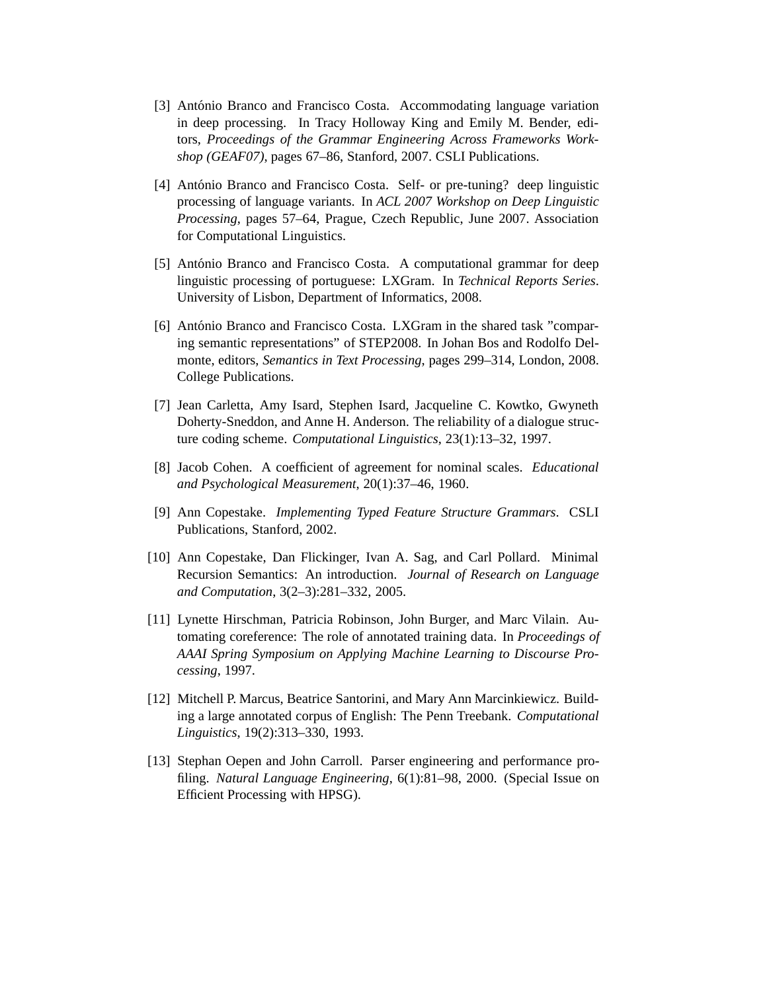- [3] António Branco and Francisco Costa. Accommodating language variation in deep processing. In Tracy Holloway King and Emily M. Bender, editors, *Proceedings of the Grammar Engineering Across Frameworks Workshop (GEAF07)*, pages 67–86, Stanford, 2007. CSLI Publications.
- [4] António Branco and Francisco Costa. Self- or pre-tuning? deep linguistic processing of language variants. In *ACL 2007 Workshop on Deep Linguistic Processing*, pages 57–64, Prague, Czech Republic, June 2007. Association for Computational Linguistics.
- [5] António Branco and Francisco Costa. A computational grammar for deep linguistic processing of portuguese: LXGram. In *Technical Reports Series*. University of Lisbon, Department of Informatics, 2008.
- [6] António Branco and Francisco Costa. LXGram in the shared task "comparing semantic representations" of STEP2008. In Johan Bos and Rodolfo Delmonte, editors, *Semantics in Text Processing*, pages 299–314, London, 2008. College Publications.
- [7] Jean Carletta, Amy Isard, Stephen Isard, Jacqueline C. Kowtko, Gwyneth Doherty-Sneddon, and Anne H. Anderson. The reliability of a dialogue structure coding scheme. *Computational Linguistics*, 23(1):13–32, 1997.
- [8] Jacob Cohen. A coefficient of agreement for nominal scales. *Educational and Psychological Measurement*, 20(1):37–46, 1960.
- [9] Ann Copestake. *Implementing Typed Feature Structure Grammars*. CSLI Publications, Stanford, 2002.
- [10] Ann Copestake, Dan Flickinger, Ivan A. Sag, and Carl Pollard. Minimal Recursion Semantics: An introduction. *Journal of Research on Language and Computation*, 3(2–3):281–332, 2005.
- [11] Lynette Hirschman, Patricia Robinson, John Burger, and Marc Vilain. Automating coreference: The role of annotated training data. In *Proceedings of AAAI Spring Symposium on Applying Machine Learning to Discourse Processing*, 1997.
- [12] Mitchell P. Marcus, Beatrice Santorini, and Mary Ann Marcinkiewicz. Building a large annotated corpus of English: The Penn Treebank. *Computational Linguistics*, 19(2):313–330, 1993.
- [13] Stephan Oepen and John Carroll. Parser engineering and performance profiling. *Natural Language Engineering*, 6(1):81–98, 2000. (Special Issue on Efficient Processing with HPSG).